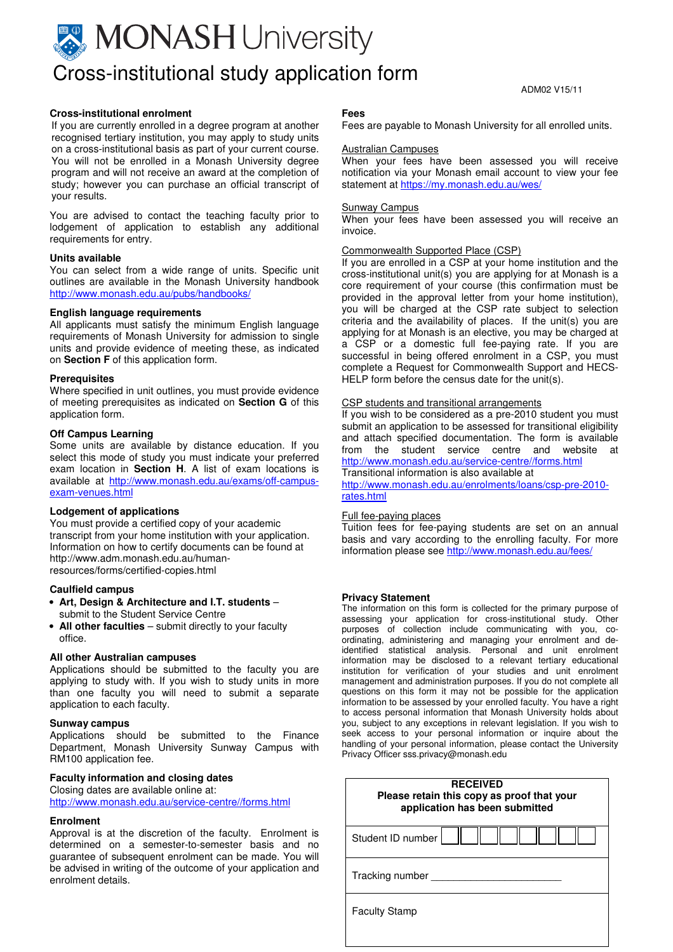## **MONASH** University Cross-institutional study application form

ADM02 V15/11

#### **Cross-institutional enrolment**

If you are currently enrolled in a degree program at another recognised tertiary institution, you may apply to study units on a cross-institutional basis as part of your current course. You will not be enrolled in a Monash University degree program and will not receive an award at the completion of study; however you can purchase an official transcript of your results.

You are advised to contact the teaching faculty prior to lodgement of application to establish any additional requirements for entry.

#### **Units available**

You can select from a wide range of units. Specific unit outlines are available in the Monash University handbook http://www.monash.edu.au/pubs/handbooks/

#### **English language requirements**

All applicants must satisfy the minimum English language requirements of Monash University for admission to single units and provide evidence of meeting these, as indicated on **Section F** of this application form.

#### **Prerequisites**

Where specified in unit outlines, you must provide evidence of meeting prerequisites as indicated on **Section G** of this application form.

#### **Off Campus Learning**

Some units are available by distance education. If you select this mode of study you must indicate your preferred exam location in **Section H**. A list of exam locations is available at http://www.monash.edu.au/exams/off-campusexam-venues.html

#### **Lodgement of applications**

You must provide a certified copy of your academic transcript from your home institution with your application. Information on how to certify documents can be found at http://www.adm.monash.edu.au/humanresources/forms/certified-copies.html

#### **Caulfield campus**

- **Art, Design & Architecture and I.T. students** submit to the Student Service Centre
- **All other faculties** submit directly to your faculty office.

#### **All other Australian campuses**

Applications should be submitted to the faculty you are applying to study with. If you wish to study units in more than one faculty you will need to submit a separate application to each faculty.

#### **Sunway campus**

Applications should be submitted to the Finance Department, Monash University Sunway Campus with RM100 application fee.

#### **Faculty information and closing dates**

Closing dates are available online at:

http://www.monash.edu.au/service-centre//forms.html

#### **Enrolment**

Approval is at the discretion of the faculty. Enrolment is determined on a semester-to-semester basis and no guarantee of subsequent enrolment can be made. You will be advised in writing of the outcome of your application and enrolment details.

#### **Fees**

Fees are payable to Monash University for all enrolled units.

#### Australian Campuses

When your fees have been assessed you will receive notification via your Monash email account to view your fee statement at https://my.monash.edu.au/wes/

#### Sunway Campus

When your fees have been assessed you will receive an invoice.

#### Commonwealth Supported Place (CSP)

If you are enrolled in a CSP at your home institution and the cross-institutional unit(s) you are applying for at Monash is a core requirement of your course (this confirmation must be provided in the approval letter from your home institution), you will be charged at the CSP rate subject to selection criteria and the availability of places. If the unit(s) you are applying for at Monash is an elective, you may be charged at a CSP or a domestic full fee-paying rate. If you are successful in being offered enrolment in a CSP, you must complete a Request for Commonwealth Support and HECS-HELP form before the census date for the unit(s).

#### CSP students and transitional arrangements

If you wish to be considered as a pre-2010 student you must submit an application to be assessed for transitional eligibility and attach specified documentation. The form is available from the student service centre and website http://www.monash.edu.au/service-centre//forms.html Transitional information is also available at

http://www.monash.edu.au/enrolments/loans/csp-pre-2010 rates.html

#### Full fee-paying places

Tuition fees for fee-paying students are set on an annual basis and vary according to the enrolling faculty. For more information please see http://www.monash.edu.au/fees/

#### **Privacy Statement**

The information on this form is collected for the primary purpose of assessing your application for cross-institutional study. Other purposes of collection include communicating with you, coordinating, administering and managing your enrolment and deidentified statistical analysis. Personal and unit enrolment information may be disclosed to a relevant tertiary educational institution for verification of your studies and unit enrolment management and administration purposes. If you do not complete all questions on this form it may not be possible for the application information to be assessed by your enrolled faculty. You have a right to access personal information that Monash University holds about you, subject to any exceptions in relevant legislation. If you wish to seek access to your personal information or inquire about the handling of your personal information, please contact the University Privacy Officer sss.privacy@monash.edu

| <b>RECEIVED</b><br>Please retain this copy as proof that your<br>application has been submitted |  |  |  |  |
|-------------------------------------------------------------------------------------------------|--|--|--|--|
| Student ID number                                                                               |  |  |  |  |
| Tracking number                                                                                 |  |  |  |  |
| <b>Faculty Stamp</b>                                                                            |  |  |  |  |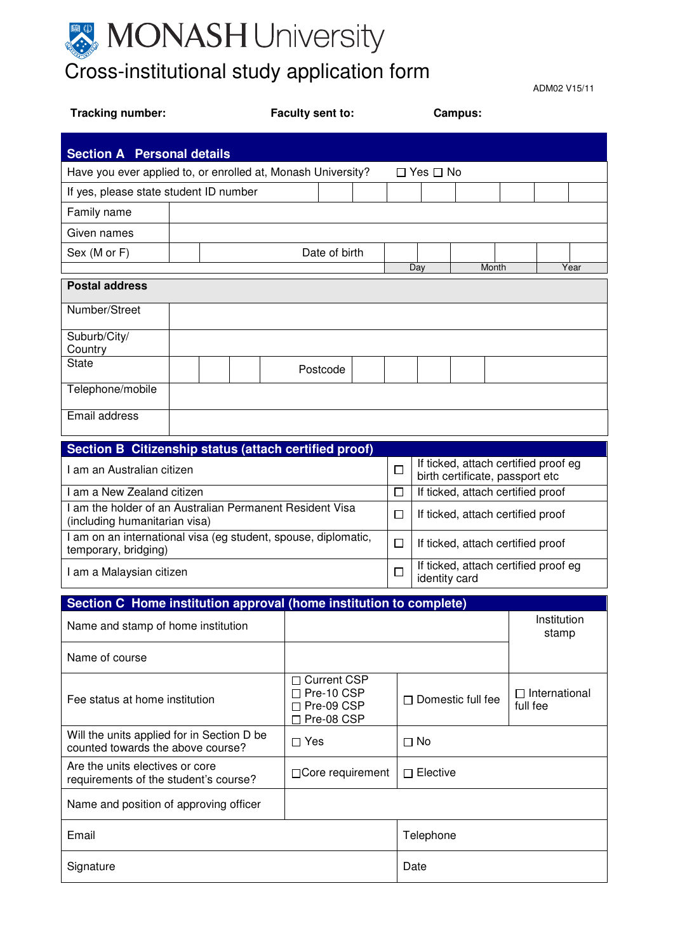

ADM02 V15/11

| Tracking number:                                                                          |  | Faculty sent to: |                                                                                   | Campus: |                          |                                                       |              |                      |             |      |
|-------------------------------------------------------------------------------------------|--|------------------|-----------------------------------------------------------------------------------|---------|--------------------------|-------------------------------------------------------|--------------|----------------------|-------------|------|
| <b>Section A Personal details</b>                                                         |  |                  |                                                                                   |         |                          |                                                       |              |                      |             |      |
| Have you ever applied to, or enrolled at, Monash University?<br>□ Yes □ No                |  |                  |                                                                                   |         |                          |                                                       |              |                      |             |      |
| If yes, please state student ID number                                                    |  |                  |                                                                                   |         |                          |                                                       |              |                      |             |      |
| Family name                                                                               |  |                  |                                                                                   |         |                          |                                                       |              |                      |             |      |
| Given names                                                                               |  |                  |                                                                                   |         |                          |                                                       |              |                      |             |      |
| Sex (M or F)                                                                              |  |                  | Date of birth                                                                     |         |                          |                                                       |              |                      |             |      |
| <b>Postal address</b>                                                                     |  |                  |                                                                                   |         |                          | Day                                                   | <b>Month</b> |                      |             | Year |
| Number/Street                                                                             |  |                  |                                                                                   |         |                          |                                                       |              |                      |             |      |
|                                                                                           |  |                  |                                                                                   |         |                          |                                                       |              |                      |             |      |
| Suburb/City/<br>Country                                                                   |  |                  |                                                                                   |         |                          |                                                       |              |                      |             |      |
| State                                                                                     |  |                  | Postcode                                                                          |         |                          |                                                       |              |                      |             |      |
| Telephone/mobile                                                                          |  |                  |                                                                                   |         |                          |                                                       |              |                      |             |      |
| Email address                                                                             |  |                  |                                                                                   |         |                          |                                                       |              |                      |             |      |
| Section B Citizenship status (attach certified proof)                                     |  |                  |                                                                                   |         |                          |                                                       |              |                      |             |      |
| I am an Australian citizen                                                                |  |                  | If ticked, attach certified proof eg<br>$\Box$<br>birth certificate, passport etc |         |                          |                                                       |              |                      |             |      |
| I am a New Zealand citizen                                                                |  |                  | If ticked, attach certified proof<br>$\Box$                                       |         |                          |                                                       |              |                      |             |      |
| I am the holder of an Australian Permanent Resident Visa<br>(including humanitarian visa) |  |                  |                                                                                   |         | $\Box$                   | If ticked, attach certified proof                     |              |                      |             |      |
| I am on an international visa (eg student, spouse, diplomatic,<br>temporary, bridging)    |  |                  |                                                                                   |         | □                        | If ticked, attach certified proof                     |              |                      |             |      |
| I am a Malaysian citizen                                                                  |  |                  |                                                                                   |         | □                        | If ticked, attach certified proof eg<br>identity card |              |                      |             |      |
| Section C Home institution approval (home institution to complete)                        |  |                  |                                                                                   |         |                          |                                                       |              |                      |             |      |
| Name and stamp of home institution                                                        |  |                  |                                                                                   |         |                          |                                                       |              |                      | Institution |      |
|                                                                                           |  |                  |                                                                                   |         |                          |                                                       |              |                      | stamp       |      |
| Name of course                                                                            |  |                  |                                                                                   |         |                          |                                                       |              |                      |             |      |
| Fee status at home institution                                                            |  |                  | □ Current CSP<br>$\Box$ Pre-10 CSP<br>$\Box$ Pre-09 CSP<br>□ Pre-08 CSP           |         | $\Box$ Domestic full fee |                                                       | full fee     | $\Box$ International |             |      |
| Will the units applied for in Section D be<br>counted towards the above course?           |  |                  | $\Box$ Yes<br>$\Box$ No                                                           |         |                          |                                                       |              |                      |             |      |
| Are the units electives or core<br>requirements of the student's course?                  |  |                  | □ Core requirement<br>$\Box$ Elective                                             |         |                          |                                                       |              |                      |             |      |
| Name and position of approving officer                                                    |  |                  |                                                                                   |         |                          |                                                       |              |                      |             |      |
| Email                                                                                     |  |                  |                                                                                   |         |                          | Telephone                                             |              |                      |             |      |
| Signature                                                                                 |  |                  |                                                                                   |         |                          | Date                                                  |              |                      |             |      |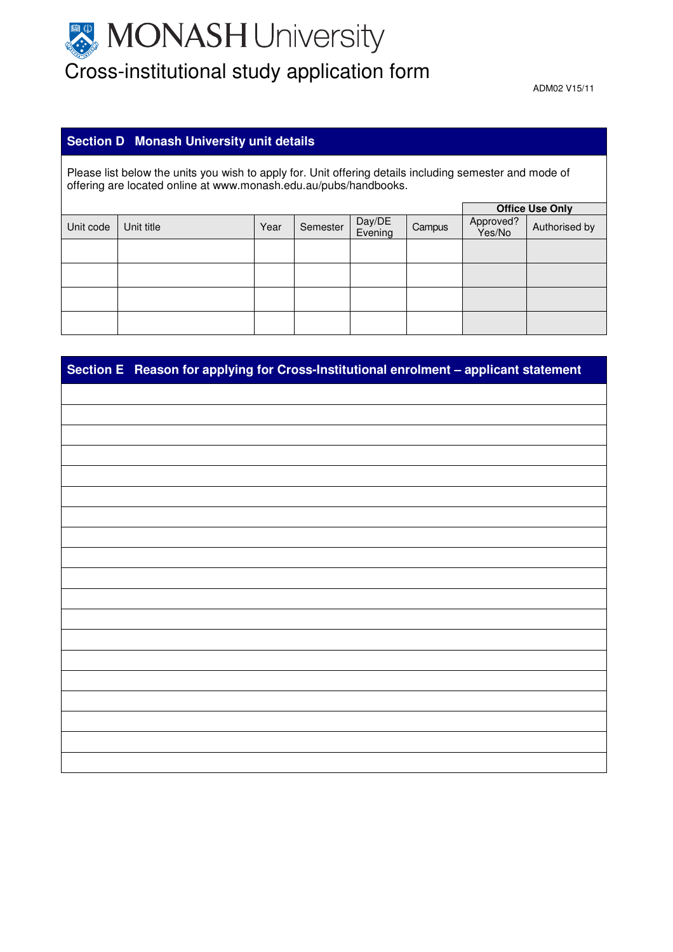# **MONASH University** Cross-institutional study application form

ADM02 V15/11

#### **Section D Monash University unit details**

Please list below the units you wish to apply for. Unit offering details including semester and mode of offering are located online at www.monash.edu.au/pubs/handbooks.

|           |            |      |          |                   | <b>Office Use Only</b> |                     |               |
|-----------|------------|------|----------|-------------------|------------------------|---------------------|---------------|
| Unit code | Unit title | Year | Semester | Day/DE<br>Evening | Campus                 | Approved?<br>Yes/No | Authorised by |
|           |            |      |          |                   |                        |                     |               |
|           |            |      |          |                   |                        |                     |               |
|           |            |      |          |                   |                        |                     |               |
|           |            |      |          |                   |                        |                     |               |

| Section E Reason for applying for Cross-Institutional enrolment - applicant statement |
|---------------------------------------------------------------------------------------|
|                                                                                       |
|                                                                                       |
|                                                                                       |
|                                                                                       |
|                                                                                       |
|                                                                                       |
|                                                                                       |
|                                                                                       |
|                                                                                       |
|                                                                                       |
|                                                                                       |
|                                                                                       |
|                                                                                       |
|                                                                                       |
|                                                                                       |
|                                                                                       |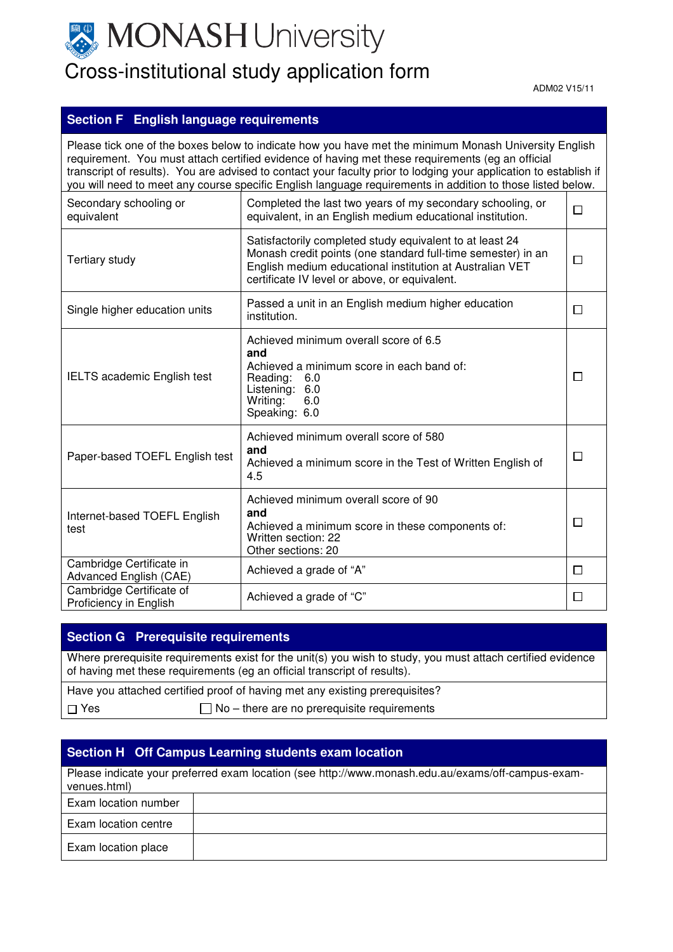

### Cross-institutional study application form

ADM02 V15/11

#### **Section F English language requirements**

Please tick one of the boxes below to indicate how you have met the minimum Monash University English requirement. You must attach certified evidence of having met these requirements (eg an official transcript of results). You are advised to contact your faculty prior to lodging your application to establish if you will need to meet any course specific English language requirements in addition to those listed below. Completed the last two years of my secondary schooling, or Secondary schooling or  $\Box$ equivalent, in an English medium educational institution. equivalent Satisfactorily completed study equivalent to at least 24 Monash credit points (one standard full-time semester) in an  $\Box$ Tertiary study English medium educational institution at Australian VET certificate IV level or above, or equivalent. Single higher education units Passed a unit in an English medium higher education  $\Box$ institution. Achieved minimum overall score of 6.5 **and**  Achieved a minimum score in each band of: IELTS academic English test  $\Box$ Reading: 6.0 Listening: 6.0<br>Writing: 6.0 Writing: Speaking: 6.0 Achieved minimum overall score of 580 **and**  Paper-based TOEFL English test  $\Box$ Achieved a minimum score in the Test of Written English of 4.5 Achieved minimum overall score of 90 **and**  Internet-based TOEFL English  $\Box$ Achieved a minimum score in these components of: test Written section: 22 Other sections: 20 Cambridge Certificate in Advanced English (CAE) Achieved a grade of "A"  $\Box$ Cambridge Certificate of<br>Proficiency in English Achieved a grade of "C"  $\Box$ 

#### **Section G Prerequisite requirements**

Where prerequisite requirements exist for the unit(s) you wish to study, you must attach certified evidence of having met these requirements (eg an official transcript of results).

|            | Have you attached certified proof of having met any existing prerequisites? |
|------------|-----------------------------------------------------------------------------|
| $\Box$ Yes | $\Box$ No – there are no prerequisite requirements                          |

#### **Section H Off Campus Learning students exam location**

| Please indicate your preferred exam location (see http://www.monash.edu.au/exams/off-campus-exam-<br>venues.html) |  |  |  |  |
|-------------------------------------------------------------------------------------------------------------------|--|--|--|--|
| Exam location number                                                                                              |  |  |  |  |
| Exam location centre                                                                                              |  |  |  |  |
| Exam location place                                                                                               |  |  |  |  |